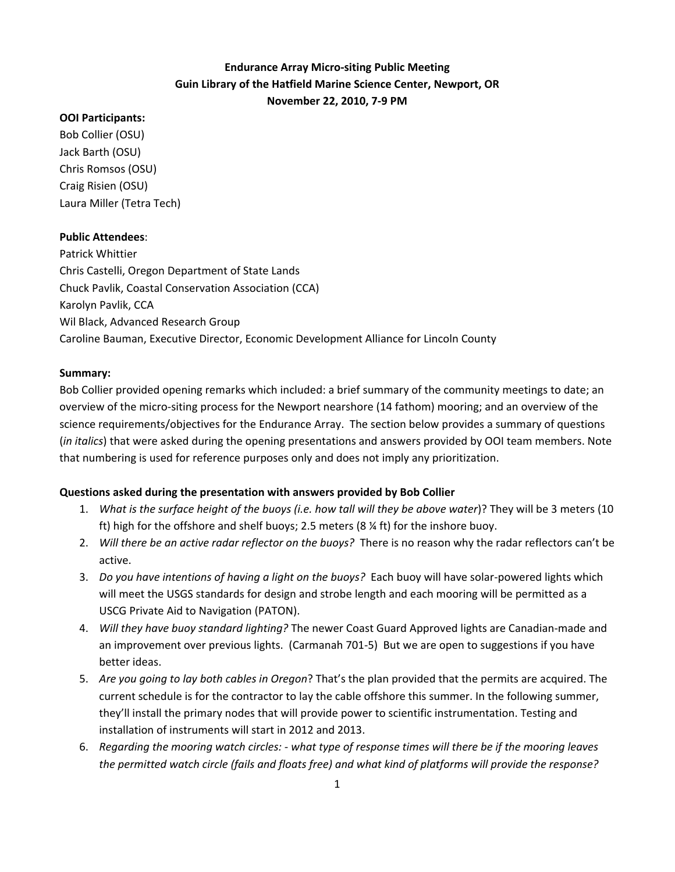# **Endurance Array Micro‐siting Public Meeting Guin Library of the Hatfield Marine Science Center, Newport, OR November 22, 2010, 7‐9 PM**

## **OOI Participants:**

Bob Collier (OSU) Jack Barth (OSU) Chris Romsos (OSU) Craig Risien (OSU) Laura Miller (Tetra Tech)

### **Public Attendees**:

Patrick Whittier Chris Castelli, Oregon Department of State Lands Chuck Pavlik, Coastal Conservation Association (CCA) Karolyn Pavlik, CCA Wil Black, Advanced Research Group Caroline Bauman, Executive Director, Economic Development Alliance for Lincoln County

## **Summary:**

Bob Collier provided opening remarks which included: a brief summary of the community meetings to date; an overview of the micro‐siting process for the Newport nearshore (14 fathom) mooring; and an overview of the science requirements/objectives for the Endurance Array. The section below provides a summary of questions (*in italics*) that were asked during the opening presentations and answers provided by OOI team members. Note that numbering is used for reference purposes only and does not imply any prioritization.

## **Questions asked during the presentation with answers provided by Bob Collier**

- 1. *What is the surface height of the buoys (i.e. how tall will they be above water*)? They will be 3 meters (10 ft) high for the offshore and shelf buoys; 2.5 meters (8 ¼ ft) for the inshore buoy.
- 2. *Will there be an active radar reflector on the buoys?* There is no reason why the radar reflectors can't be active.
- 3. *Do you have intentions of having a light on the buoys?* Each buoy will have solar‐powered lights which will meet the USGS standards for design and strobe length and each mooring will be permitted as a USCG Private Aid to Navigation (PATON).
- 4. *Will they have buoy standard lighting?* The newer Coast Guard Approved lights are Canadian‐made and an improvement over previous lights. (Carmanah 701‐5) But we are open to suggestions if you have better ideas.
- 5. *Are you going to lay both cables in Oregon*? That's the plan provided that the permits are acquired. The current schedule is for the contractor to lay the cable offshore this summer. In the following summer, they'll install the primary nodes that will provide power to scientific instrumentation. Testing and installation of instruments will start in 2012 and 2013.
- 6. Regarding the mooring watch circles: what type of response times will there be if the mooring leaves *the permitted watch circle (fails and floats free) and what kind of platforms will provide the response?*